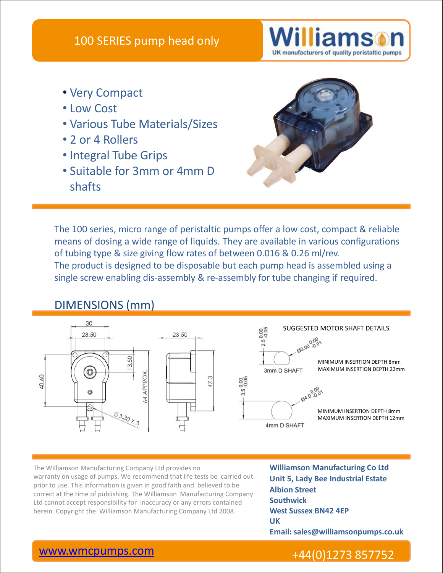

- Very Compact
- Low Cost
- Various Tube Materials/Sizes
- 2 or 4 Rollers
- Integral Tube Grips
- Suitable for 3mm or 4mm D shafts



The 100 series, micro range of peristaltic pumps offer a low cost, compact & reliable means of dosing a wide range of liquids. They are available in various configurations of tubing type & size giving flow rates of between 0.016 & 0.26 ml/rev. The product is designed to be disposable but each pump head is assembled using a single screw enabling dis-assembly & re-assembly for tube changing if required.

# DIMENSIONS (mm)



The Williamson Manufacturing Company Ltd provides no **Williamson Manufacturing Co Ltd** warranty on usage of pumps. We recommend that life tests be carried out prior to use. This information is given in good faith and believed to be correct at the time of publishing. The Williamson Manufacturing Company Ltd cannot accept responsibility for inaccuracy or any errors contained The Williamson Manufacturing Company Ltd provides no<br>
warranty on usage of pumps. We recommend that life tests be carried out<br>
prior to use. This information is given in good faith and believed to be<br>
correct at the time o

**Unit 5, Lady Bee Industrial Estate Albion Street Southwick West Sussex BN42 4EP UK Email: sales@williamsonpumps.co.uk**

# www.wmcpumps.com +44(0)1273 857752